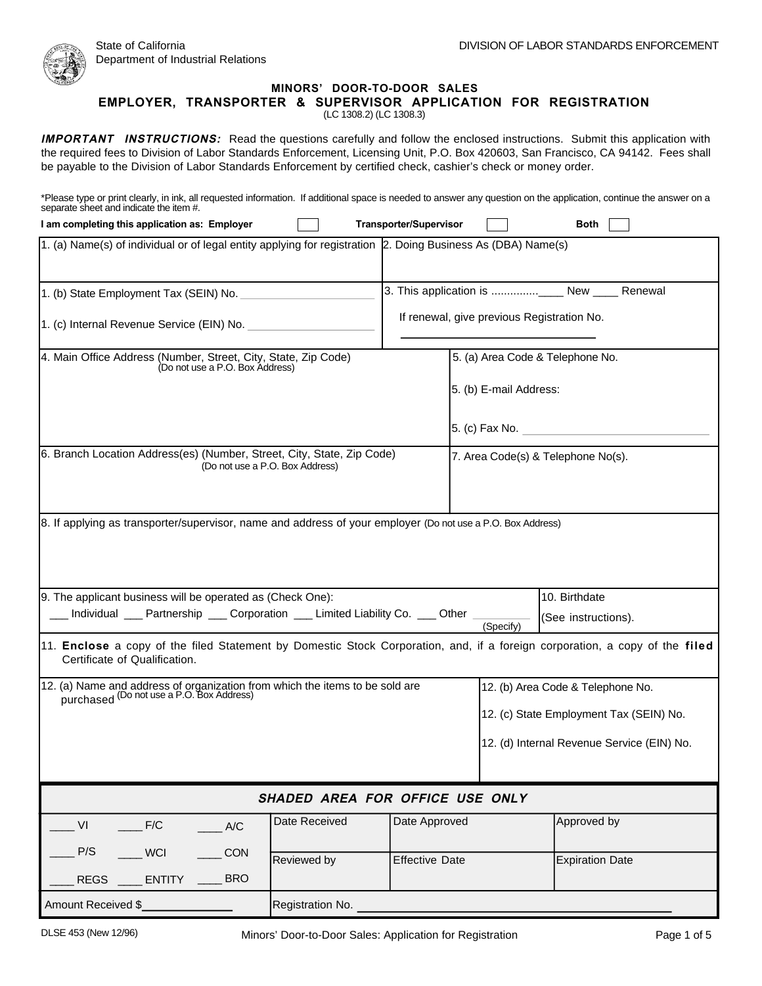

## **MINORS' DOOR-TO-DOOR SALES**

**EMPLOYER, TRANSPORTER & SUPERVISOR APPLICATION FOR REGISTRATION** 

(LC 1308.2) (LC 1308.3)

**IMPORTANT INSTRUCTIONS:** Read the questions carefully and follow the enclosed instructions. Submit this application with the required fees to Division of Labor Standards Enforcement, Licensing Unit, P.O. Box 420603, San Francisco, CA 94142. Fees shall be payable to the Division of Labor Standards Enforcement by certified check, cashier's check or money order.

\*Please type or print clearly, in ink, all requested information. If additional space is needed to answer any question on the application, continue the answer on a separate sheet and indicate the item #.

| I am completing this application as: Employer                                                                                                                |                                 | <b>Transporter/Supervisor</b>              |                                         | <b>Both</b>            |
|--------------------------------------------------------------------------------------------------------------------------------------------------------------|---------------------------------|--------------------------------------------|-----------------------------------------|------------------------|
| 1. (a) Name(s) of individual or of legal entity applying for registration 2. Doing Business As (DBA) Name(s)                                                 |                                 |                                            |                                         |                        |
| 1. (b) State Employment Tax (SEIN) No.                                                                                                                       |                                 |                                            |                                         |                        |
| 1. (c) Internal Revenue Service (EIN) No.                                                                                                                    |                                 | If renewal, give previous Registration No. |                                         |                        |
| 4. Main Office Address (Number, Street, City, State, Zip Code)<br>5. (a) Area Code & Telephone No.<br>(Do not use a P.O. Box Address)                        |                                 |                                            |                                         |                        |
|                                                                                                                                                              |                                 |                                            | 5. (b) E-mail Address:                  |                        |
|                                                                                                                                                              |                                 |                                            |                                         | 5. (c) Fax No.         |
| 6. Branch Location Address(es) (Number, Street, City, State, Zip Code)<br>7. Area Code(s) & Telephone No(s).<br>(Do not use a P.O. Box Address)              |                                 |                                            |                                         |                        |
| 8. If applying as transporter/supervisor, name and address of your employer (Do not use a P.O. Box Address)                                                  |                                 |                                            |                                         |                        |
| 9. The applicant business will be operated as (Check One):                                                                                                   |                                 |                                            |                                         | 10. Birthdate          |
| Individual ___ Partnership ___ Corporation ___ Limited Liability Co. ___ Other                                                                               |                                 |                                            | (Specify)                               | (See instructions).    |
| 11. Enclose a copy of the filed Statement by Domestic Stock Corporation, and, if a foreign corporation, a copy of the filed<br>Certificate of Qualification. |                                 |                                            |                                         |                        |
| 12. (a) Name and address of organization from which the items to be sold are purchased (Do not use a P.O. Box Address)<br>12. (b) Area Code & Telephone No.  |                                 |                                            |                                         |                        |
|                                                                                                                                                              |                                 |                                            | 12. (c) State Employment Tax (SEIN) No. |                        |
| 12. (d) Internal Revenue Service (EIN) No.                                                                                                                   |                                 |                                            |                                         |                        |
|                                                                                                                                                              | SHADED AREA FOR OFFICE USE ONLY |                                            |                                         |                        |
| F/C<br>V <sub>l</sub><br>A/C                                                                                                                                 | Date Received                   | Date Approved                              |                                         | Approved by            |
| P/S<br><b>WCI</b><br>CON                                                                                                                                     | Reviewed by                     | <b>Effective Date</b>                      |                                         | <b>Expiration Date</b> |
| <b>REGS</b><br>$\frac{1}{2}$ ENTITY<br><b>BRO</b>                                                                                                            |                                 |                                            |                                         |                        |
| Amount Received \$                                                                                                                                           | Registration No.                |                                            |                                         |                        |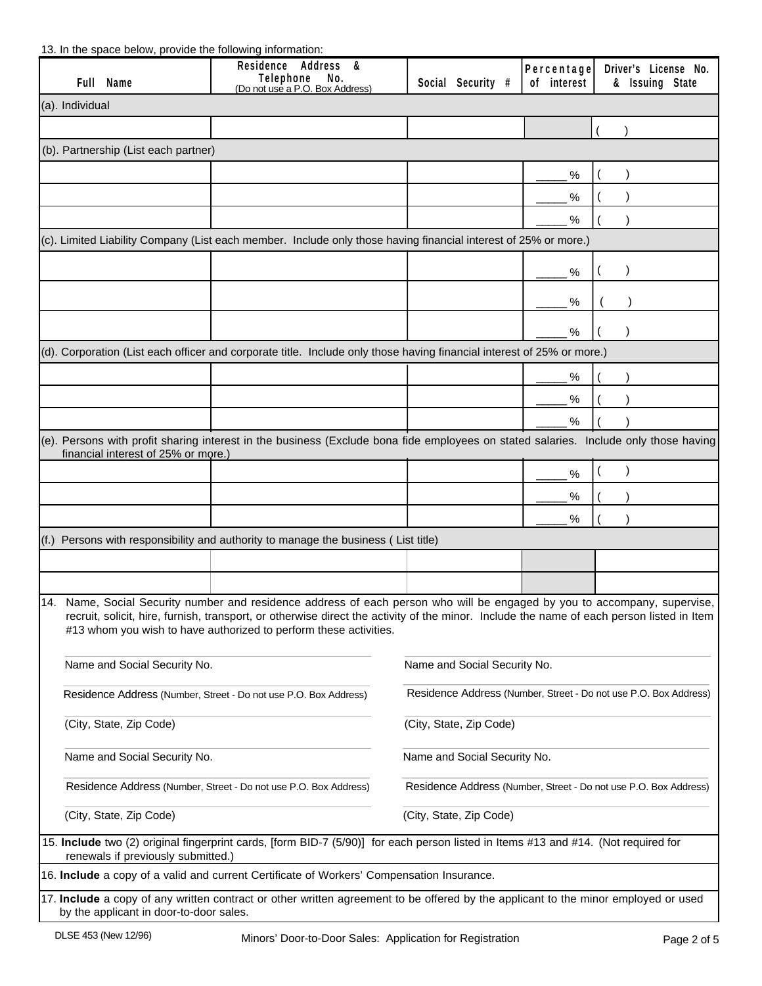## 13. In the space below, provide the following information:

|                                                                  | Full Name                                                                                                                                                                                                                                                                                                                                   | Residence Address &<br>No.<br>Telephone<br>(Do not use a P.O. Box Address)                                                           | Social Security #            | Percentage<br>of interest | Driver's License No.<br>& Issuing State |  |
|------------------------------------------------------------------|---------------------------------------------------------------------------------------------------------------------------------------------------------------------------------------------------------------------------------------------------------------------------------------------------------------------------------------------|--------------------------------------------------------------------------------------------------------------------------------------|------------------------------|---------------------------|-----------------------------------------|--|
| (a). Individual                                                  |                                                                                                                                                                                                                                                                                                                                             |                                                                                                                                      |                              |                           |                                         |  |
|                                                                  |                                                                                                                                                                                                                                                                                                                                             |                                                                                                                                      |                              |                           |                                         |  |
|                                                                  | (b). Partnership (List each partner)                                                                                                                                                                                                                                                                                                        |                                                                                                                                      |                              |                           |                                         |  |
|                                                                  |                                                                                                                                                                                                                                                                                                                                             |                                                                                                                                      |                              | %                         |                                         |  |
|                                                                  |                                                                                                                                                                                                                                                                                                                                             |                                                                                                                                      |                              | %                         |                                         |  |
|                                                                  |                                                                                                                                                                                                                                                                                                                                             |                                                                                                                                      |                              | %                         |                                         |  |
|                                                                  |                                                                                                                                                                                                                                                                                                                                             | (c). Limited Liability Company (List each member. Include only those having financial interest of 25% or more.)                      |                              |                           |                                         |  |
|                                                                  |                                                                                                                                                                                                                                                                                                                                             |                                                                                                                                      |                              | $\%$                      |                                         |  |
|                                                                  |                                                                                                                                                                                                                                                                                                                                             |                                                                                                                                      |                              |                           |                                         |  |
|                                                                  |                                                                                                                                                                                                                                                                                                                                             |                                                                                                                                      |                              | $\%$                      |                                         |  |
|                                                                  |                                                                                                                                                                                                                                                                                                                                             |                                                                                                                                      |                              | %                         |                                         |  |
|                                                                  |                                                                                                                                                                                                                                                                                                                                             | (d). Corporation (List each officer and corporate title. Include only those having financial interest of 25% or more.)               |                              |                           |                                         |  |
|                                                                  |                                                                                                                                                                                                                                                                                                                                             |                                                                                                                                      |                              | %                         |                                         |  |
|                                                                  |                                                                                                                                                                                                                                                                                                                                             |                                                                                                                                      |                              | %                         |                                         |  |
|                                                                  |                                                                                                                                                                                                                                                                                                                                             |                                                                                                                                      |                              | $\%$                      |                                         |  |
|                                                                  | financial interest of 25% or more.)                                                                                                                                                                                                                                                                                                         | (e). Persons with profit sharing interest in the business (Exclude bona fide employees on stated salaries. Include only those having |                              |                           |                                         |  |
|                                                                  |                                                                                                                                                                                                                                                                                                                                             |                                                                                                                                      |                              | %                         |                                         |  |
|                                                                  |                                                                                                                                                                                                                                                                                                                                             |                                                                                                                                      |                              | %                         |                                         |  |
|                                                                  |                                                                                                                                                                                                                                                                                                                                             |                                                                                                                                      |                              | %                         |                                         |  |
|                                                                  |                                                                                                                                                                                                                                                                                                                                             | $(f.)$ Persons with responsibility and authority to manage the business (List title)                                                 |                              |                           |                                         |  |
|                                                                  |                                                                                                                                                                                                                                                                                                                                             |                                                                                                                                      |                              |                           |                                         |  |
|                                                                  |                                                                                                                                                                                                                                                                                                                                             |                                                                                                                                      |                              |                           |                                         |  |
|                                                                  | 14. Name, Social Security number and residence address of each person who will be engaged by you to accompany, supervise,<br>recruit, solicit, hire, furnish, transport, or otherwise direct the activity of the minor. Include the name of each person listed in Item<br>#13 whom you wish to have authorized to perform these activities. |                                                                                                                                      |                              |                           |                                         |  |
|                                                                  | Name and Social Security No.<br>Name and Social Security No.                                                                                                                                                                                                                                                                                |                                                                                                                                      |                              |                           |                                         |  |
|                                                                  | Residence Address (Number, Street - Do not use P.O. Box Address)<br>Residence Address (Number, Street - Do not use P.O. Box Address)                                                                                                                                                                                                        |                                                                                                                                      |                              |                           |                                         |  |
|                                                                  | (City, State, Zip Code)<br>(City, State, Zip Code)                                                                                                                                                                                                                                                                                          |                                                                                                                                      |                              |                           |                                         |  |
|                                                                  | Name and Social Security No.                                                                                                                                                                                                                                                                                                                |                                                                                                                                      | Name and Social Security No. |                           |                                         |  |
| Residence Address (Number, Street - Do not use P.O. Box Address) |                                                                                                                                                                                                                                                                                                                                             | Residence Address (Number, Street - Do not use P.O. Box Address)                                                                     |                              |                           |                                         |  |
|                                                                  | (City, State, Zip Code)<br>(City, State, Zip Code)                                                                                                                                                                                                                                                                                          |                                                                                                                                      |                              |                           |                                         |  |
|                                                                  | 15. Include two (2) original fingerprint cards, [form BID-7 (5/90)] for each person listed in Items #13 and #14. (Not required for<br>renewals if previously submitted.)                                                                                                                                                                    |                                                                                                                                      |                              |                           |                                         |  |
|                                                                  |                                                                                                                                                                                                                                                                                                                                             | 16. Include a copy of a valid and current Certificate of Workers' Compensation Insurance.                                            |                              |                           |                                         |  |
|                                                                  | by the applicant in door-to-door sales.                                                                                                                                                                                                                                                                                                     | 17. Include a copy of any written contract or other written agreement to be offered by the applicant to the minor employed or used   |                              |                           |                                         |  |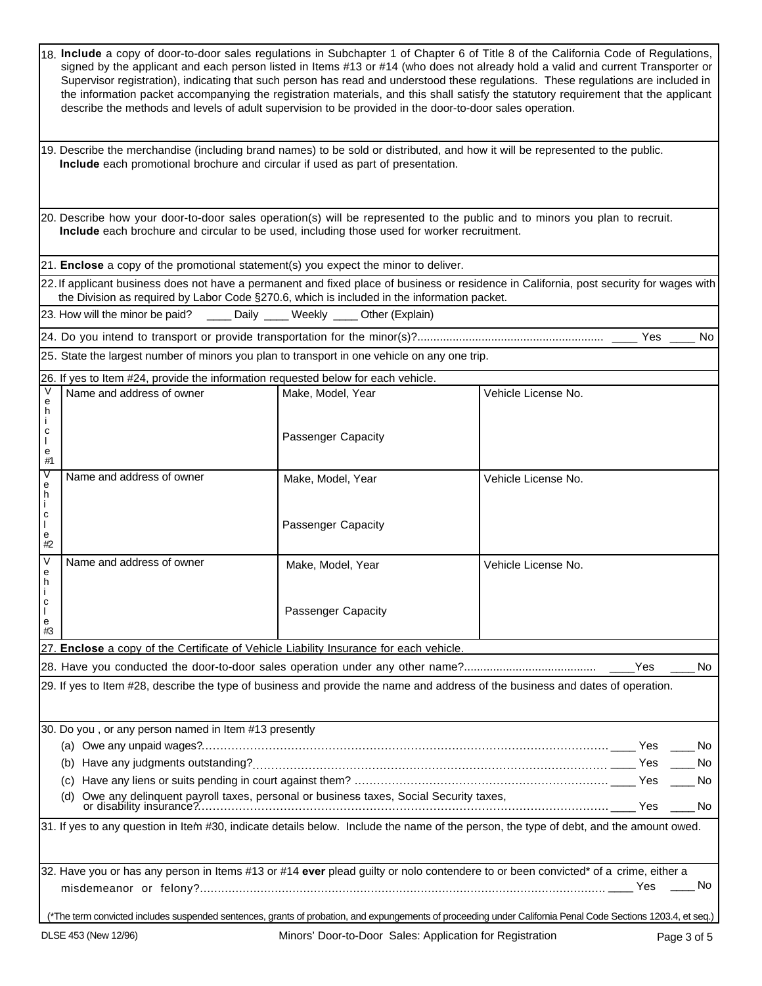|                        | 18. Include a copy of door-to-door sales regulations in Subchapter 1 of Chapter 6 of Title 8 of the California Code of Regulations,<br>signed by the applicant and each person listed in Items #13 or #14 (who does not already hold a valid and current Transporter or<br>Supervisor registration), indicating that such person has read and understood these regulations. These regulations are included in<br>the information packet accompanying the registration materials, and this shall satisfy the statutory requirement that the applicant<br>describe the methods and levels of adult supervision to be provided in the door-to-door sales operation. |                    |                     |     |
|------------------------|------------------------------------------------------------------------------------------------------------------------------------------------------------------------------------------------------------------------------------------------------------------------------------------------------------------------------------------------------------------------------------------------------------------------------------------------------------------------------------------------------------------------------------------------------------------------------------------------------------------------------------------------------------------|--------------------|---------------------|-----|
|                        | 19. Describe the merchandise (including brand names) to be sold or distributed, and how it will be represented to the public.<br>Include each promotional brochure and circular if used as part of presentation.                                                                                                                                                                                                                                                                                                                                                                                                                                                 |                    |                     |     |
|                        | 20. Describe how your door-to-door sales operation(s) will be represented to the public and to minors you plan to recruit.<br>Include each brochure and circular to be used, including those used for worker recruitment.                                                                                                                                                                                                                                                                                                                                                                                                                                        |                    |                     |     |
|                        | 21. Enclose a copy of the promotional statement(s) you expect the minor to deliver.                                                                                                                                                                                                                                                                                                                                                                                                                                                                                                                                                                              |                    |                     |     |
|                        | 22. If applicant business does not have a permanent and fixed place of business or residence in California, post security for wages with<br>the Division as required by Labor Code §270.6, which is included in the information packet.                                                                                                                                                                                                                                                                                                                                                                                                                          |                    |                     |     |
|                        | 23. How will the minor be paid? _____ Daily ____ Weekly ____ Other (Explain)                                                                                                                                                                                                                                                                                                                                                                                                                                                                                                                                                                                     |                    |                     |     |
|                        |                                                                                                                                                                                                                                                                                                                                                                                                                                                                                                                                                                                                                                                                  |                    |                     | No  |
|                        | 25. State the largest number of minors you plan to transport in one vehicle on any one trip.                                                                                                                                                                                                                                                                                                                                                                                                                                                                                                                                                                     |                    |                     |     |
|                        | 26. If yes to Item #24, provide the information requested below for each vehicle.                                                                                                                                                                                                                                                                                                                                                                                                                                                                                                                                                                                |                    |                     |     |
| V                      | Name and address of owner                                                                                                                                                                                                                                                                                                                                                                                                                                                                                                                                                                                                                                        | Make, Model, Year  | Vehicle License No. |     |
| e<br>h                 |                                                                                                                                                                                                                                                                                                                                                                                                                                                                                                                                                                                                                                                                  |                    |                     |     |
| с<br>L<br>e<br>#1      |                                                                                                                                                                                                                                                                                                                                                                                                                                                                                                                                                                                                                                                                  | Passenger Capacity |                     |     |
| V<br>e<br>h            | Name and address of owner                                                                                                                                                                                                                                                                                                                                                                                                                                                                                                                                                                                                                                        | Make, Model, Year  | Vehicle License No. |     |
| Ť.<br>C<br>e<br>#2     |                                                                                                                                                                                                                                                                                                                                                                                                                                                                                                                                                                                                                                                                  | Passenger Capacity |                     |     |
| $\vee$<br>e<br>h       | Name and address of owner                                                                                                                                                                                                                                                                                                                                                                                                                                                                                                                                                                                                                                        | Make, Model, Year  | Vehicle License No. |     |
| C<br>$\mathbf e$<br>#3 |                                                                                                                                                                                                                                                                                                                                                                                                                                                                                                                                                                                                                                                                  | Passenger Capacity |                     |     |
|                        | 27. Enclose a copy of the Certificate of Vehicle Liability Insurance for each vehicle.                                                                                                                                                                                                                                                                                                                                                                                                                                                                                                                                                                           |                    |                     |     |
|                        |                                                                                                                                                                                                                                                                                                                                                                                                                                                                                                                                                                                                                                                                  |                    | Yes                 | No. |
|                        | 29. If yes to Item #28, describe the type of business and provide the name and address of the business and dates of operation.                                                                                                                                                                                                                                                                                                                                                                                                                                                                                                                                   |                    |                     |     |
|                        | 30. Do you, or any person named in Item #13 presently                                                                                                                                                                                                                                                                                                                                                                                                                                                                                                                                                                                                            |                    |                     |     |
|                        |                                                                                                                                                                                                                                                                                                                                                                                                                                                                                                                                                                                                                                                                  |                    |                     | No. |
|                        | (C)                                                                                                                                                                                                                                                                                                                                                                                                                                                                                                                                                                                                                                                              |                    |                     |     |
|                        | (d)                                                                                                                                                                                                                                                                                                                                                                                                                                                                                                                                                                                                                                                              |                    |                     |     |
|                        | 31. If yes to any question in Item #30, indicate details below. Include the name of the person, the type of debt, and the amount owed.                                                                                                                                                                                                                                                                                                                                                                                                                                                                                                                           |                    |                     |     |
|                        | 32. Have you or has any person in Items #13 or #14 ever plead guilty or nolo contendere to or been convicted* of a crime, either a                                                                                                                                                                                                                                                                                                                                                                                                                                                                                                                               |                    |                     |     |
|                        | *The term convicted includes suspended sentences, grants of probation, and expungements of proceeding under California Penal Code Sections 1203.4, et seq.)                                                                                                                                                                                                                                                                                                                                                                                                                                                                                                      |                    |                     |     |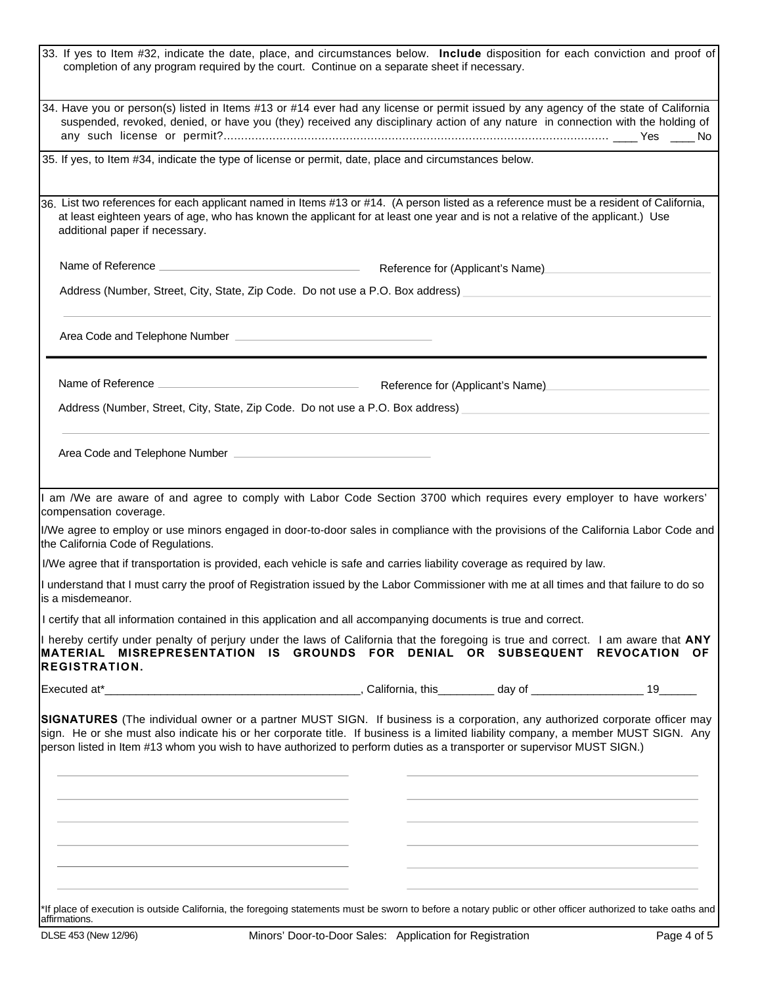| 33. If yes to Item #32, indicate the date, place, and circumstances below. Include disposition for each conviction and proof of<br>completion of any program required by the court. Continue on a separate sheet if necessary.                                                                                                                                                               |  |                                  |
|----------------------------------------------------------------------------------------------------------------------------------------------------------------------------------------------------------------------------------------------------------------------------------------------------------------------------------------------------------------------------------------------|--|----------------------------------|
| 34. Have you or person(s) listed in Items #13 or #14 ever had any license or permit issued by any agency of the state of California<br>suspended, revoked, denied, or have you (they) received any disciplinary action of any nature in connection with the holding of                                                                                                                       |  |                                  |
| 35. If yes, to Item #34, indicate the type of license or permit, date, place and circumstances below.                                                                                                                                                                                                                                                                                        |  |                                  |
| 36. List two references for each applicant named in Items #13 or #14. (A person listed as a reference must be a resident of California,<br>at least eighteen years of age, who has known the applicant for at least one year and is not a relative of the applicant.) Use<br>additional paper if necessary.                                                                                  |  |                                  |
| Name of Reference <b>Name of Reference Name of Reference</b> for (Applicant's Name)                                                                                                                                                                                                                                                                                                          |  |                                  |
| Address (Number, Street, City, State, Zip Code. Do not use a P.O. Box address) _______________________________                                                                                                                                                                                                                                                                               |  |                                  |
|                                                                                                                                                                                                                                                                                                                                                                                              |  |                                  |
|                                                                                                                                                                                                                                                                                                                                                                                              |  | Reference for (Applicant's Name) |
| Address (Number, Street, City, State, Zip Code. Do not use a P.O. Box address) [14] Address (Number, Street, City, State, Zip Code. Do not use a P.O. Box address) [14] And the state of the state of the state of the state o                                                                                                                                                               |  |                                  |
|                                                                                                                                                                                                                                                                                                                                                                                              |  |                                  |
| I am /We are aware of and agree to comply with Labor Code Section 3700 which requires every employer to have workers'<br>compensation coverage.                                                                                                                                                                                                                                              |  |                                  |
| I/We agree to employ or use minors engaged in door-to-door sales in compliance with the provisions of the California Labor Code and<br>the California Code of Regulations.                                                                                                                                                                                                                   |  |                                  |
| I/We agree that if transportation is provided, each vehicle is safe and carries liability coverage as required by law.                                                                                                                                                                                                                                                                       |  |                                  |
| I understand that I must carry the proof of Registration issued by the Labor Commissioner with me at all times and that failure to do so<br>lis a misdemeanor.                                                                                                                                                                                                                               |  |                                  |
| I certify that all information contained in this application and all accompanying documents is true and correct.                                                                                                                                                                                                                                                                             |  |                                  |
| I hereby certify under penalty of perjury under the laws of California that the foregoing is true and correct. I am aware that ANY<br>MATERIAL MISREPRESENTATION IS GROUNDS FOR DENIAL OR SUBSEQUENT REVOCATION OF<br><b>REGISTRATION.</b>                                                                                                                                                   |  |                                  |
|                                                                                                                                                                                                                                                                                                                                                                                              |  |                                  |
| SIGNATURES (The individual owner or a partner MUST SIGN. If business is a corporation, any authorized corporate officer may<br>sign. He or she must also indicate his or her corporate title. If business is a limited liability company, a member MUST SIGN. Any<br>person listed in Item #13 whom you wish to have authorized to perform duties as a transporter or supervisor MUST SIGN.) |  |                                  |
|                                                                                                                                                                                                                                                                                                                                                                                              |  |                                  |
|                                                                                                                                                                                                                                                                                                                                                                                              |  |                                  |
| *If place of execution is outside California, the foregoing statements must be sworn to before a notary public or other officer authorized to take oaths and                                                                                                                                                                                                                                 |  |                                  |
|                                                                                                                                                                                                                                                                                                                                                                                              |  |                                  |

affirmations.